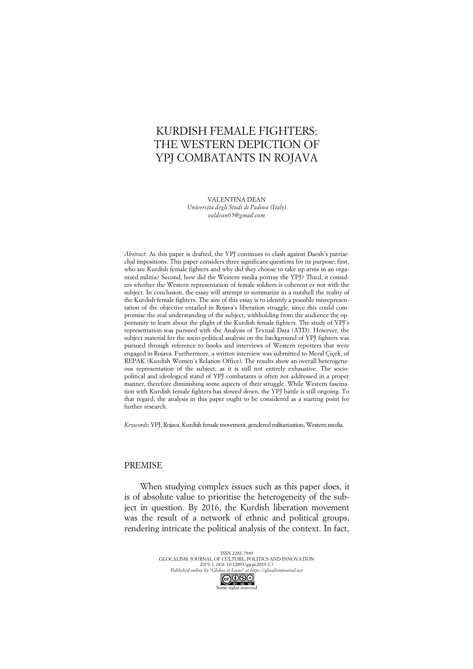# KURDISH FEMALE FIGHTERS: THE WESTERN DEPICTION OF YPJ COMBATANTS IN ROJAVA

VALENTINA DEAN *Università degli Studi di Padova (Italy) valdean05@gmail.com*

*Abstract*: As this paper is drafted, the YPJ continues to clash against Daesh's patriarchal impositions. This paper considers three significant questions for its purpose; first, who are Kurdish female fighters and why did they choose to take up arms in an organized militia? Second, how did the Western media portray the YPJ? Third, it considers whether the Western representation of female soldiers is coherent or not with the subject. In conclusion, the essay will attempt to summarize in a nutshell the reality of the Kurdish female fighters. The aim of this essay is to identify a possible misrepresentation of the objective entailed in Rojava's liberation struggle, since this could compromise the real understanding of the subject, withholding from the audience the opportunity to learn about the plight of the Kurdish female fighters. The study of YPJ's representation was pursued with the Analysis of Textual Data (ATD). However, the subject material for the socio-political analysis on the background of YPJ fighters was pursued through reference to books and interviews of Western reporters that were engaged in Rojava. Furthermore, a written interview was submitted to Meral Çiçek, of REPAK (Kurdish Women's Relation Office). The results show an overall heterogeneous representation of the subject, as it is still not entirely exhaustive. The sociopolitical and ideological stand of YPJ combatants is often not addressed in a proper manner, therefore diminishing some aspects of their struggle. While Western fascination with Kurdish female fighters has slowed down, the YPJ battle is still ongoing. To that regard, the analysis in this paper ought to be considered as a starting point for further research.

*Keywords*: YPJ, Rojava, Kurdish female movement, gendered militarization, Western media.

## PREMISE

When studying complex issues such as this paper does, it is of absolute value to prioritise the heterogeneity of the subject in question. By 2016, the Kurdish liberation movement was the result of a network of ethnic and political groups, rendering intricate the political analysis of the context. In fact,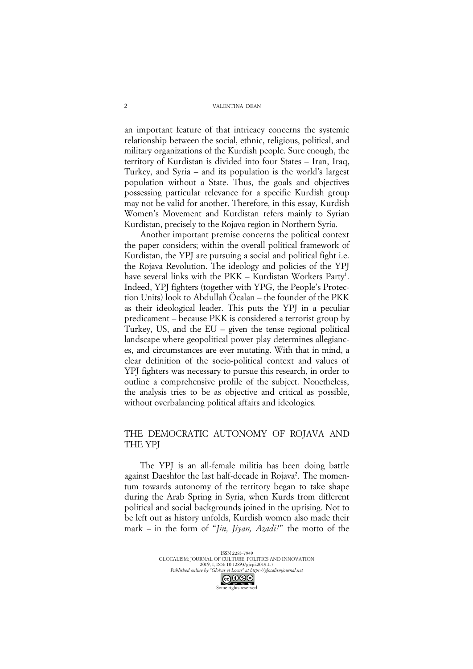an important feature of that intricacy concerns the systemic relationship between the social, ethnic, religious, political, and military organizations of the Kurdish people. Sure enough, the territory of Kurdistan is divided into four States – Iran, Iraq, Turkey, and Syria – and its population is the world's largest population without a State. Thus, the goals and objectives possessing particular relevance for a specific Kurdish group may not be valid for another. Therefore, in this essay, Kurdish Women's Movement and Kurdistan refers mainly to Syrian Kurdistan, precisely to the Rojava region in Northern Syria.

Another important premise concerns the political context the paper considers; within the overall political framework of Kurdistan, the YPJ are pursuing a social and political fight i.e. the Rojava Revolution. The ideology and policies of the YPJ have several links with the PKK – Kurdistan Workers Party<sup>1</sup>. Indeed, YPJ fighters (together with YPG, the People's Protection Units) look to Abdullah Öcalan – the founder of the PKK as their ideological leader. This puts the YPJ in a peculiar predicament – because PKK is considered a terrorist group by Turkey, US, and the EU – given the tense regional political landscape where geopolitical power play determines allegiances, and circumstances are ever mutating. With that in mind, a clear definition of the socio-political context and values of YPJ fighters was necessary to pursue this research, in order to outline a comprehensive profile of the subject. Nonetheless, the analysis tries to be as objective and critical as possible, without overbalancing political affairs and ideologies.

## THE DEMOCRATIC AUTONOMY OF ROJAVA AND THE YPJ

The YPJ is an all-female militia has been doing battle against Daeshfor the last half-decade in Rojava<sup>2</sup>. The momentum towards autonomy of the territory began to take shape during the Arab Spring in Syria, when Kurds from different political and social backgrounds joined in the uprising. Not to be left out as history unfolds, Kurdish women also made their mark – in the form of "*Jin, Jiyan, Azadi!*" the motto of the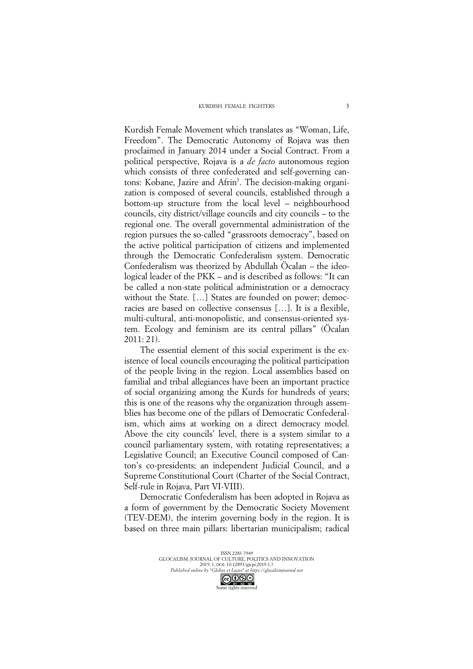#### KURDISH FEMALE FIGHTERS

Kurdish Female Movement which translates as "Woman, Life, Freedom". The Democratic Autonomy of Rojava was then proclaimed in January 2014 under a Social Contract. From a political perspective, Rojava is a *de facto* autonomous region which consists of three confederated and self-governing cantons: Kobane, Jazire and Afrin<sup>3</sup>. The decision-making organization is composed of several councils, established through a bottom-up structure from the local level – neighbourhood councils, city district/village councils and city councils – to the regional one. The overall governmental administration of the region pursues the so-called "grassroots democracy", based on the active political participation of citizens and implemented through the Democratic Confederalism system. Democratic Confederalism was theorized by Abdullah Öcalan – the ideological leader of the PKK – and is described as follows: "It can be called a non-state political administration or a democracy without the State. […] States are founded on power; democracies are based on collective consensus […]. It is a flexible, multi-cultural, anti-monopolistic, and consensus-oriented system. Ecology and feminism are its central pillars" (Öcalan 2011: 21).

The essential element of this social experiment is the existence of local councils encouraging the political participation of the people living in the region. Local assemblies based on familial and tribal allegiances have been an important practice of social organizing among the Kurds for hundreds of years; this is one of the reasons why the organization through assemblies has become one of the pillars of Democratic Confederalism, which aims at working on a direct democracy model. Above the city councils' level, there is a system similar to a council parliamentary system, with rotating representatives; a Legislative Council; an Executive Council composed of Canton's co-presidents; an independent Judicial Council, and a Supreme Constitutional Court (Charter of the Social Contract, Self-rule in Rojava, Part VI-VIII).

Democratic Confederalism has been adopted in Rojava as a form of government by the Democratic Society Movement (TEV-DEM), the interim governing body in the region. It is based on three main pillars: libertarian municipalism; radical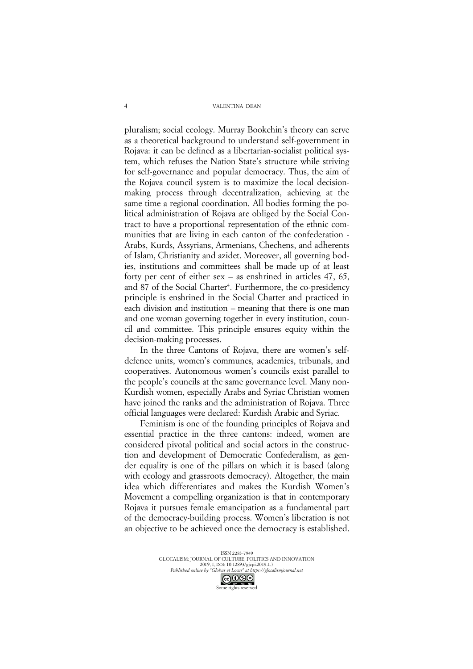pluralism; social ecology. Murray Bookchin's theory can serve as a theoretical background to understand self-government in Rojava: it can be defined as a libertarian-socialist political system, which refuses the Nation State's structure while striving for self-governance and popular democracy. Thus, the aim of the Rojava council system is to maximize the local decisionmaking process through decentralization, achieving at the same time a regional coordination. All bodies forming the political administration of Rojava are obliged by the Social Contract to have a proportional representation of the ethnic communities that are living in each canton of the confederation - Arabs, Kurds, Assyrians, Armenians, Chechens, and adherents of Islam, Christianity and azidet. Moreover, all governing bodies, institutions and committees shall be made up of at least forty per cent of either sex – as enshrined in articles 47, 65, and 87 of the Social Charter<sup>4</sup>. Furthermore, the co-presidency principle is enshrined in the Social Charter and practiced in each division and institution – meaning that there is one man and one woman governing together in every institution, council and committee. This principle ensures equity within the decision-making processes.

In the three Cantons of Rojava, there are women's selfdefence units, women's communes, academies, tribunals, and cooperatives. Autonomous women's councils exist parallel to the people's councils at the same governance level. Many non-Kurdish women, especially Arabs and Syriac Christian women have joined the ranks and the administration of Rojava. Three official languages were declared: Kurdish Arabic and Syriac.

Feminism is one of the founding principles of Rojava and essential practice in the three cantons: indeed, women are considered pivotal political and social actors in the construction and development of Democratic Confederalism, as gender equality is one of the pillars on which it is based (along with ecology and grassroots democracy). Altogether, the main idea which differentiates and makes the Kurdish Women's Movement a compelling organization is that in contemporary Rojava it pursues female emancipation as a fundamental part of the democracy-building process. Women's liberation is not an objective to be achieved once the democracy is established.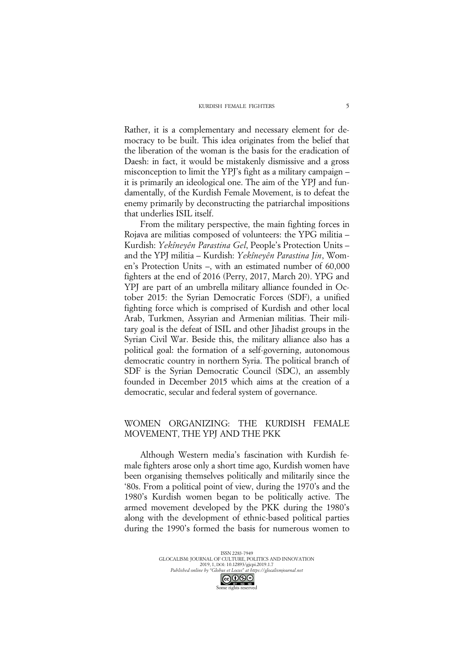Rather, it is a complementary and necessary element for democracy to be built. This idea originates from the belief that the liberation of the woman is the basis for the eradication of Daesh: in fact, it would be mistakenly dismissive and a gross misconception to limit the YPJ's fight as a military campaign – it is primarily an ideological one. The aim of the YPJ and fundamentally, of the Kurdish Female Movement, is to defeat the enemy primarily by deconstructing the patriarchal impositions that underlies ISIL itself.

From the military perspective, the main fighting forces in Rojava are militias composed of volunteers: the YPG militia – Kurdish: *Yekîneyên Parastina Gel*, People's Protection Units – and the YPJ militia – Kurdish: *Yekîneyên Parastina Jin*, Women's Protection Units –, with an estimated number of 60,000 fighters at the end of 2016 (Perry, 2017, March 20). YPG and YPJ are part of an umbrella military alliance founded in October 2015: the Syrian Democratic Forces (SDF), a unified fighting force which is comprised of Kurdish and other local Arab, Turkmen, Assyrian and Armenian militias. Their military goal is the defeat of ISIL and other Jihadist groups in the Syrian Civil War. Beside this, the military alliance also has a political goal: the formation of a self-governing, autonomous democratic country in northern Syria. The political branch of SDF is the Syrian Democratic Council (SDC), an assembly founded in December 2015 which aims at the creation of a democratic, secular and federal system of governance.

## WOMEN ORGANIZING: THE KURDISH FEMALE MOVEMENT, THE YPJ AND THE PKK

Although Western media's fascination with Kurdish female fighters arose only a short time ago, Kurdish women have been organising themselves politically and militarily since the '80s. From a political point of view, during the 1970's and the 1980's Kurdish women began to be politically active. The armed movement developed by the PKK during the 1980's along with the development of ethnic-based political parties during the 1990's formed the basis for numerous women to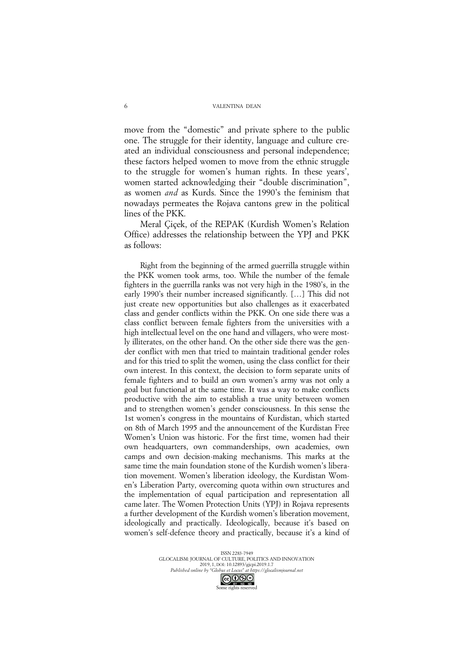move from the "domestic" and private sphere to the public one. The struggle for their identity, language and culture created an individual consciousness and personal independence; these factors helped women to move from the ethnic struggle to the struggle for women's human rights. In these years', women started acknowledging their "double discrimination", as women *and* as Kurds. Since the 1990's the feminism that nowadays permeates the Rojava cantons grew in the political lines of the PKK.

Meral Çiçek, of the REPAK (Kurdish Women's Relation Office) addresses the relationship between the YPJ and PKK as follows:

Right from the beginning of the armed guerrilla struggle within the PKK women took arms, too. While the number of the female fighters in the guerrilla ranks was not very high in the 1980's, in the early 1990's their number increased significantly. […] This did not just create new opportunities but also challenges as it exacerbated class and gender conflicts within the PKK. On one side there was a class conflict between female fighters from the universities with a high intellectual level on the one hand and villagers, who were mostly illiterates, on the other hand. On the other side there was the gender conflict with men that tried to maintain traditional gender roles and for this tried to split the women, using the class conflict for their own interest. In this context, the decision to form separate units of female fighters and to build an own women's army was not only a goal but functional at the same time. It was a way to make conflicts productive with the aim to establish a true unity between women and to strengthen women's gender consciousness. In this sense the 1st women's congress in the mountains of Kurdistan, which started on 8th of March 1995 and the announcement of the Kurdistan Free Women's Union was historic. For the first time, women had their own headquarters, own commanderships, own academies, own camps and own decision-making mechanisms. This marks at the same time the main foundation stone of the Kurdish women's liberation movement. Women's liberation ideology, the Kurdistan Women's Liberation Party, overcoming quota within own structures and the implementation of equal participation and representation all came later. The Women Protection Units (YPJ) in Rojava represents a further development of the Kurdish women's liberation movement, ideologically and practically. Ideologically, because it's based on women's self-defence theory and practically, because it's a kind of

> ISSN 2283-7949 GLOCALISM: JOURNAL OF CULTURE, POLITICS AND INNOVATION 2019, 1, DOI: 10.12893/gjcpi.2019.1.7 *Published online by "Globus et Locus" at https://glocalismjournal.net*

Some rights reserved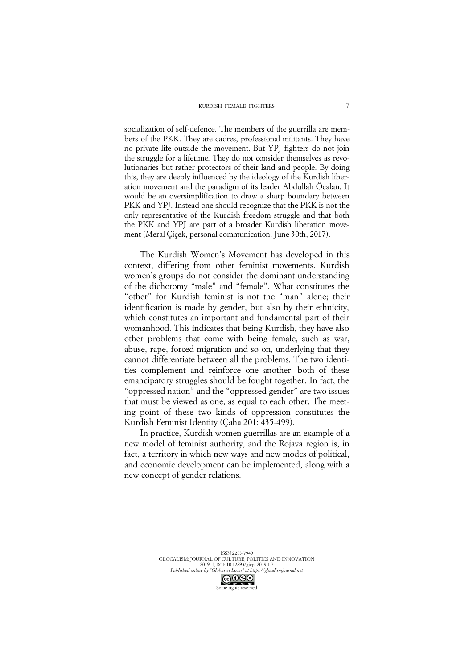socialization of self-defence. The members of the guerrilla are members of the PKK. They are cadres, professional militants. They have no private life outside the movement. But YPJ fighters do not join the struggle for a lifetime. They do not consider themselves as revolutionaries but rather protectors of their land and people. By doing this, they are deeply influenced by the ideology of the Kurdish liberation movement and the paradigm of its leader Abdullah Öcalan. It would be an oversimplification to draw a sharp boundary between PKK and YPJ. Instead one should recognize that the PKK is not the only representative of the Kurdish freedom struggle and that both the PKK and YPJ are part of a broader Kurdish liberation movement (Meral Çiçek, personal communication, June 30th, 2017).

The Kurdish Women's Movement has developed in this context, differing from other feminist movements. Kurdish women's groups do not consider the dominant understanding of the dichotomy "male" and "female". What constitutes the "other" for Kurdish feminist is not the "man" alone; their identification is made by gender, but also by their ethnicity, which constitutes an important and fundamental part of their womanhood. This indicates that being Kurdish, they have also other problems that come with being female, such as war, abuse, rape, forced migration and so on, underlying that they cannot differentiate between all the problems. The two identities complement and reinforce one another: both of these emancipatory struggles should be fought together. In fact, the "oppressed nation" and the "oppressed gender" are two issues that must be viewed as one, as equal to each other. The meeting point of these two kinds of oppression constitutes the Kurdish Feminist Identity (Çaha 201: 435-499).

In practice, Kurdish women guerrillas are an example of a new model of feminist authority, and the Rojava region is, in fact, a territory in which new ways and new modes of political, and economic development can be implemented, along with a new concept of gender relations.

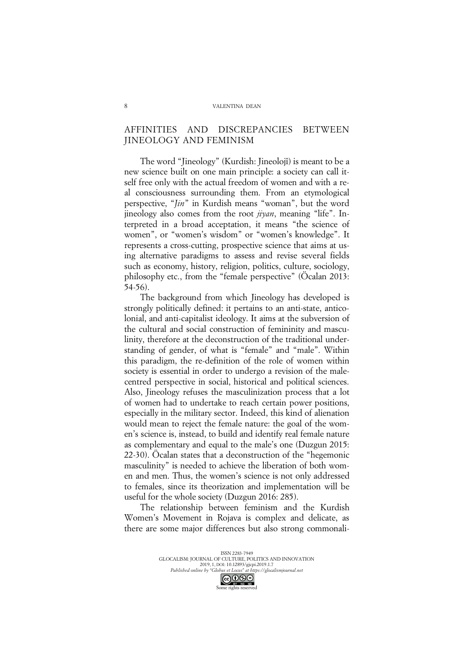## AFFINITIES AND DISCREPANCIES BETWEEN JINEOLOGY AND FEMINISM

The word "Jineology" (Kurdish: Jineolojî) is meant to be a new science built on one main principle: a society can call itself free only with the actual freedom of women and with a real consciousness surrounding them. From an etymological perspective, "*Jin*" in Kurdish means "woman", but the word jineology also comes from the root *jiyan*, meaning "life". Interpreted in a broad acceptation, it means "the science of women", or "women's wisdom" or "women's knowledge". It represents a cross-cutting, prospective science that aims at using alternative paradigms to assess and revise several fields such as economy, history, religion, politics, culture, sociology, philosophy etc., from the "female perspective" (Öcalan 2013: 54-56).

The background from which Jineology has developed is strongly politically defined: it pertains to an anti-state, anticolonial, and anti-capitalist ideology. It aims at the subversion of the cultural and social construction of femininity and masculinity, therefore at the deconstruction of the traditional understanding of gender, of what is "female" and "male". Within this paradigm, the re-definition of the role of women within society is essential in order to undergo a revision of the malecentred perspective in social, historical and political sciences. Also, Jineology refuses the masculinization process that a lot of women had to undertake to reach certain power positions, especially in the military sector. Indeed, this kind of alienation would mean to reject the female nature: the goal of the women's science is, instead, to build and identify real female nature as complementary and equal to the male's one (Duzgun 2015: 22-30). Öcalan states that a deconstruction of the "hegemonic masculinity" is needed to achieve the liberation of both women and men. Thus, the women's science is not only addressed to females, since its theorization and implementation will be useful for the whole society (Duzgun 2016: 285).

The relationship between feminism and the Kurdish Women's Movement in Rojava is complex and delicate, as there are some major differences but also strong commonali-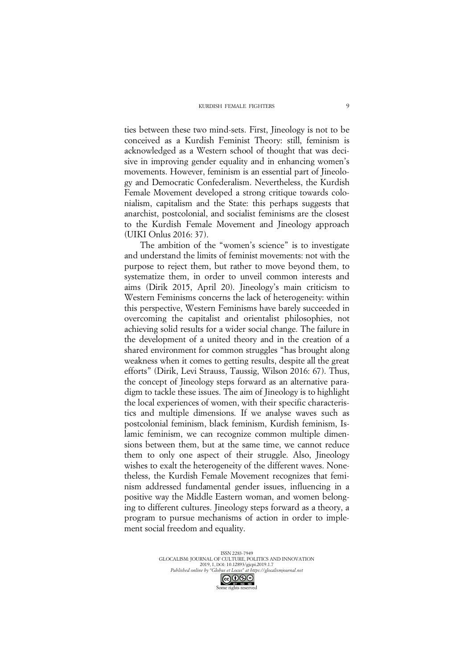ties between these two mind-sets. First, Jineology is not to be conceived as a Kurdish Feminist Theory: still, feminism is acknowledged as a Western school of thought that was decisive in improving gender equality and in enhancing women's movements. However, feminism is an essential part of Jineology and Democratic Confederalism. Nevertheless, the Kurdish Female Movement developed a strong critique towards colonialism, capitalism and the State: this perhaps suggests that anarchist, postcolonial, and socialist feminisms are the closest to the Kurdish Female Movement and Jineology approach (UIKI Onlus 2016: 37).

The ambition of the "women's science" is to investigate and understand the limits of feminist movements: not with the purpose to reject them, but rather to move beyond them, to systematize them, in order to unveil common interests and aims (Dirik 2015, April 20). Jineology's main criticism to Western Feminisms concerns the lack of heterogeneity: within this perspective, Western Feminisms have barely succeeded in overcoming the capitalist and orientalist philosophies, not achieving solid results for a wider social change. The failure in the development of a united theory and in the creation of a shared environment for common struggles "has brought along weakness when it comes to getting results, despite all the great efforts" (Dirik, Levi Strauss, Taussig, Wilson 2016: 67). Thus, the concept of Jineology steps forward as an alternative paradigm to tackle these issues. The aim of Jineology is to highlight the local experiences of women, with their specific characteristics and multiple dimensions. If we analyse waves such as postcolonial feminism, black feminism, Kurdish feminism, Islamic feminism, we can recognize common multiple dimensions between them, but at the same time, we cannot reduce them to only one aspect of their struggle. Also, Jineology wishes to exalt the heterogeneity of the different waves. Nonetheless, the Kurdish Female Movement recognizes that feminism addressed fundamental gender issues, influencing in a positive way the Middle Eastern woman, and women belonging to different cultures. Jineology steps forward as a theory, a program to pursue mechanisms of action in order to implement social freedom and equality.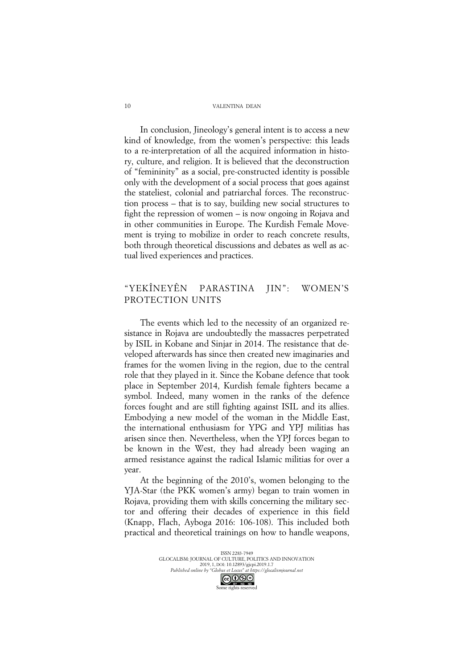In conclusion, Jineology's general intent is to access a new kind of knowledge, from the women's perspective: this leads to a re-interpretation of all the acquired information in history, culture, and religion. It is believed that the deconstruction of "femininity" as a social, pre-constructed identity is possible only with the development of a social process that goes against the stateliest, colonial and patriarchal forces. The reconstruction process – that is to say, building new social structures to fight the repression of women – is now ongoing in Rojava and in other communities in Europe. The Kurdish Female Movement is trying to mobilize in order to reach concrete results, both through theoretical discussions and debates as well as actual lived experiences and practices.

## "YEKÎNEYÊN PARASTINA JIN": WOMEN'S PROTECTION UNITS

The events which led to the necessity of an organized resistance in Rojava are undoubtedly the massacres perpetrated by ISIL in Kobane and Sinjar in 2014. The resistance that developed afterwards has since then created new imaginaries and frames for the women living in the region, due to the central role that they played in it. Since the Kobane defence that took place in September 2014, Kurdish female fighters became a symbol. Indeed, many women in the ranks of the defence forces fought and are still fighting against ISIL and its allies. Embodying a new model of the woman in the Middle East, the international enthusiasm for YPG and YPJ militias has arisen since then. Nevertheless, when the YPJ forces began to be known in the West, they had already been waging an armed resistance against the radical Islamic militias for over a year.

At the beginning of the 2010's, women belonging to the YJA-Star (the PKK women's army) began to train women in Rojava, providing them with skills concerning the military sector and offering their decades of experience in this field (Knapp, Flach, Ayboga 2016: 106-108). This included both practical and theoretical trainings on how to handle weapons,

10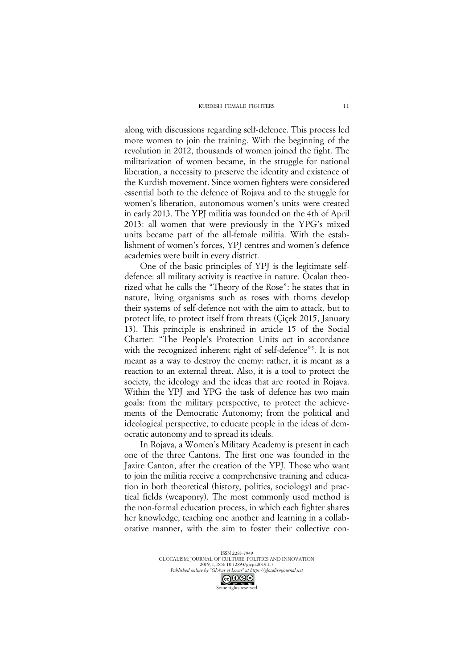along with discussions regarding self-defence. This process led more women to join the training. With the beginning of the revolution in 2012, thousands of women joined the fight. The militarization of women became, in the struggle for national liberation, a necessity to preserve the identity and existence of the Kurdish movement. Since women fighters were considered essential both to the defence of Rojava and to the struggle for women's liberation, autonomous women's units were created in early 2013. The YPJ militia was founded on the 4th of April 2013: all women that were previously in the YPG's mixed units became part of the all-female militia. With the establishment of women's forces, YPJ centres and women's defence academies were built in every district.

One of the basic principles of YPJ is the legitimate selfdefence: all military activity is reactive in nature. Öcalan theorized what he calls the "Theory of the Rose": he states that in nature, living organisms such as roses with thorns develop their systems of self-defence not with the aim to attack, but to protect life, to protect itself from threats (Çiçek 2015, January 13). This principle is enshrined in article 15 of the Social Charter: "The People's Protection Units act in accordance with the recognized inherent right of self-defence"<sup>5</sup>. It is not meant as a way to destroy the enemy: rather, it is meant as a reaction to an external threat. Also, it is a tool to protect the society, the ideology and the ideas that are rooted in Rojava. Within the YPJ and YPG the task of defence has two main goals: from the military perspective, to protect the achievements of the Democratic Autonomy; from the political and ideological perspective, to educate people in the ideas of democratic autonomy and to spread its ideals.

In Rojava, a Women's Military Academy is present in each one of the three Cantons. The first one was founded in the Jazire Canton, after the creation of the YPJ. Those who want to join the militia receive a comprehensive training and education in both theoretical (history, politics, sociology) and practical fields (weaponry). The most commonly used method is the non-formal education process, in which each fighter shares her knowledge, teaching one another and learning in a collaborative manner, with the aim to foster their collective con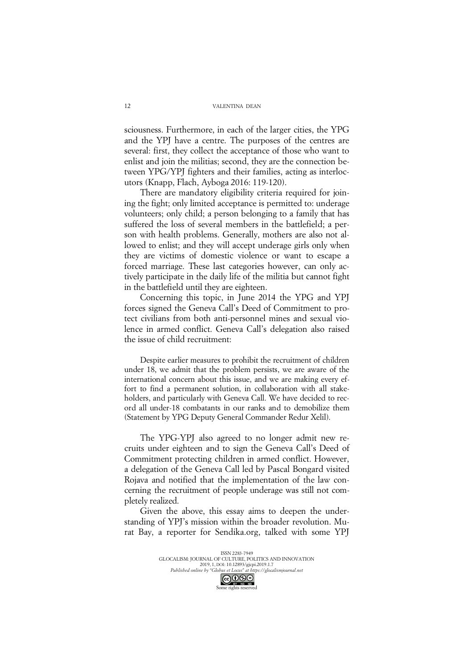sciousness. Furthermore, in each of the larger cities, the YPG and the YPJ have a centre. The purposes of the centres are several: first, they collect the acceptance of those who want to enlist and join the militias; second, they are the connection between YPG/YPJ fighters and their families, acting as interlocutors (Knapp, Flach, Ayboga 2016: 119-120).

There are mandatory eligibility criteria required for joining the fight; only limited acceptance is permitted to: underage volunteers; only child; a person belonging to a family that has suffered the loss of several members in the battlefield; a person with health problems. Generally, mothers are also not allowed to enlist; and they will accept underage girls only when they are victims of domestic violence or want to escape a forced marriage. These last categories however, can only actively participate in the daily life of the militia but cannot fight in the battlefield until they are eighteen.

Concerning this topic, in June 2014 the YPG and YPJ forces signed the Geneva Call's Deed of Commitment to protect civilians from both anti-personnel mines and sexual violence in armed conflict. Geneva Call's delegation also raised the issue of child recruitment:

Despite earlier measures to prohibit the recruitment of children under 18, we admit that the problem persists, we are aware of the international concern about this issue, and we are making every effort to find a permanent solution, in collaboration with all stakeholders, and particularly with Geneva Call. We have decided to record all under-18 combatants in our ranks and to demobilize them (Statement by YPG Deputy General Commander Redur Xelil).

The YPG-YPJ also agreed to no longer admit new recruits under eighteen and to sign the Geneva Call's Deed of Commitment protecting children in armed conflict. However, a delegation of the Geneva Call led by Pascal Bongard visited Rojava and notified that the implementation of the law concerning the recruitment of people underage was still not completely realized.

Given the above, this essay aims to deepen the understanding of YPJ's mission within the broader revolution. Murat Bay, a reporter for Sendika.org, talked with some YPJ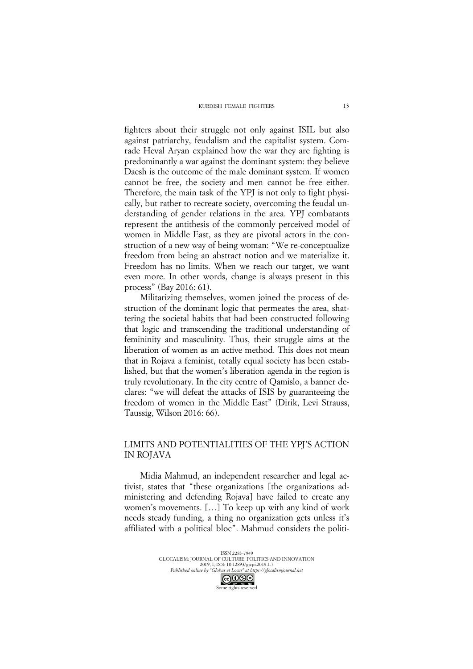fighters about their struggle not only against ISIL but also against patriarchy, feudalism and the capitalist system. Comrade Heval Aryan explained how the war they are fighting is predominantly a war against the dominant system: they believe Daesh is the outcome of the male dominant system. If women cannot be free, the society and men cannot be free either. Therefore, the main task of the YPJ is not only to fight physically, but rather to recreate society, overcoming the feudal understanding of gender relations in the area. YPJ combatants represent the antithesis of the commonly perceived model of women in Middle East, as they are pivotal actors in the construction of a new way of being woman: "We re-conceptualize freedom from being an abstract notion and we materialize it. Freedom has no limits. When we reach our target, we want even more. In other words, change is always present in this process" (Bay 2016: 61).

Militarizing themselves, women joined the process of destruction of the dominant logic that permeates the area, shattering the societal habits that had been constructed following that logic and transcending the traditional understanding of femininity and masculinity. Thus, their struggle aims at the liberation of women as an active method. This does not mean that in Rojava a feminist, totally equal society has been established, but that the women's liberation agenda in the region is truly revolutionary. In the city centre of Qamislo, a banner declares: "we will defeat the attacks of ISIS by guaranteeing the freedom of women in the Middle East" (Dirik, Levi Strauss, Taussig, Wilson 2016: 66).

## LIMITS AND POTENTIALITIES OF THE YPJ'S ACTION IN ROJAVA

Midia Mahmud, an independent researcher and legal activist, states that "these organizations [the organizations administering and defending Rojava] have failed to create any women's movements. […] To keep up with any kind of work needs steady funding, a thing no organization gets unless it's affiliated with a political bloc". Mahmud considers the politi-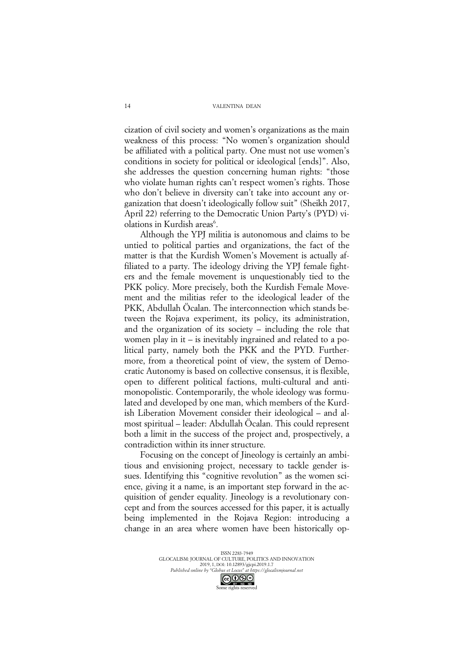cization of civil society and women's organizations as the main weakness of this process: "No women's organization should be affiliated with a political party. One must not use women's conditions in society for political or ideological [ends]". Also, she addresses the question concerning human rights: "those who violate human rights can't respect women's rights. Those who don't believe in diversity can't take into account any organization that doesn't ideologically follow suit" (Sheikh 2017, April 22) referring to the Democratic Union Party's (PYD) violations in Kurdish areas<sup>6</sup>.

Although the YPJ militia is autonomous and claims to be untied to political parties and organizations, the fact of the matter is that the Kurdish Women's Movement is actually affiliated to a party. The ideology driving the YPJ female fighters and the female movement is unquestionably tied to the PKK policy. More precisely, both the Kurdish Female Movement and the militias refer to the ideological leader of the PKK, Abdullah Öcalan. The interconnection which stands between the Rojava experiment, its policy, its administration, and the organization of its society – including the role that women play in it – is inevitably ingrained and related to a political party, namely both the PKK and the PYD. Furthermore, from a theoretical point of view, the system of Democratic Autonomy is based on collective consensus, it is flexible, open to different political factions, multi-cultural and antimonopolistic. Contemporarily, the whole ideology was formulated and developed by one man, which members of the Kurdish Liberation Movement consider their ideological – and almost spiritual – leader: Abdullah Öcalan. This could represent both a limit in the success of the project and, prospectively, a contradiction within its inner structure.

Focusing on the concept of Jineology is certainly an ambitious and envisioning project, necessary to tackle gender issues. Identifying this "cognitive revolution" as the women science, giving it a name, is an important step forward in the acquisition of gender equality. Jineology is a revolutionary concept and from the sources accessed for this paper, it is actually being implemented in the Rojava Region: introducing a change in an area where women have been historically op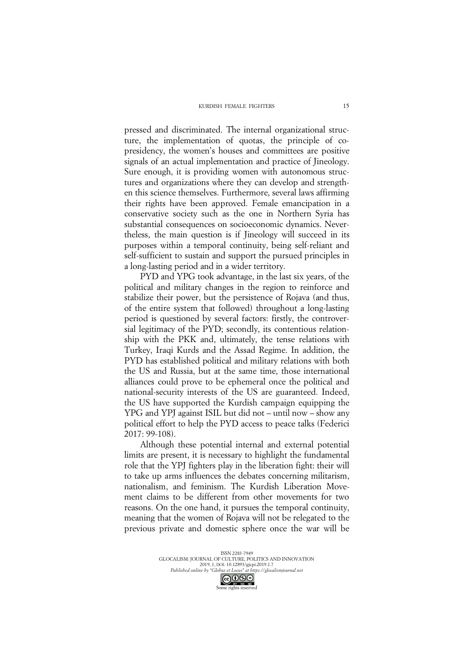pressed and discriminated. The internal organizational structure, the implementation of quotas, the principle of copresidency, the women's houses and committees are positive signals of an actual implementation and practice of Jineology. Sure enough, it is providing women with autonomous structures and organizations where they can develop and strengthen this science themselves. Furthermore, several laws affirming their rights have been approved. Female emancipation in a conservative society such as the one in Northern Syria has substantial consequences on socioeconomic dynamics. Nevertheless, the main question is if Jineology will succeed in its purposes within a temporal continuity, being self-reliant and self-sufficient to sustain and support the pursued principles in a long-lasting period and in a wider territory.

PYD and YPG took advantage, in the last six years, of the political and military changes in the region to reinforce and stabilize their power, but the persistence of Rojava (and thus, of the entire system that followed) throughout a long-lasting period is questioned by several factors: firstly, the controversial legitimacy of the PYD; secondly, its contentious relationship with the PKK and, ultimately, the tense relations with Turkey, Iraqi Kurds and the Assad Regime. In addition, the PYD has established political and military relations with both the US and Russia, but at the same time, those international alliances could prove to be ephemeral once the political and national-security interests of the US are guaranteed. Indeed, the US have supported the Kurdish campaign equipping the YPG and YPJ against ISIL but did not – until now – show any political effort to help the PYD access to peace talks (Federici 2017: 99-108).

Although these potential internal and external potential limits are present, it is necessary to highlight the fundamental role that the YPJ fighters play in the liberation fight: their will to take up arms influences the debates concerning militarism, nationalism, and feminism. The Kurdish Liberation Movement claims to be different from other movements for two reasons. On the one hand, it pursues the temporal continuity, meaning that the women of Rojava will not be relegated to the previous private and domestic sphere once the war will be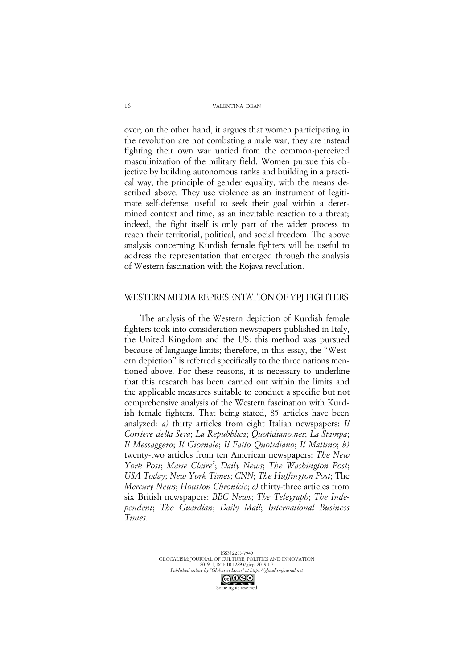over; on the other hand, it argues that women participating in the revolution are not combating a male war, they are instead fighting their own war untied from the common-perceived masculinization of the military field. Women pursue this objective by building autonomous ranks and building in a practical way, the principle of gender equality, with the means described above. They use violence as an instrument of legitimate self-defense, useful to seek their goal within a determined context and time, as an inevitable reaction to a threat; indeed, the fight itself is only part of the wider process to reach their territorial, political, and social freedom. The above analysis concerning Kurdish female fighters will be useful to address the representation that emerged through the analysis of Western fascination with the Rojava revolution.

### WESTERN MEDIA REPRESENTATION OF YPJ FIGHTERS

The analysis of the Western depiction of Kurdish female fighters took into consideration newspapers published in Italy, the United Kingdom and the US: this method was pursued because of language limits; therefore, in this essay, the "Western depiction" is referred specifically to the three nations mentioned above. For these reasons, it is necessary to underline that this research has been carried out within the limits and the applicable measures suitable to conduct a specific but not comprehensive analysis of the Western fascination with Kurdish female fighters. That being stated, 85 articles have been analyzed: *a)* thirty articles from eight Italian newspapers: *Il Corriere della Sera*; *La Repubblica*; *Quotidiano.net*; *La Stampa*; *Il Messaggero*; *Il Giornale*; *Il Fatto Quotidiano*; *Il Mattino*; *b)* twenty-two articles from ten American newspapers: *The New*  York Post; Marie Claire<sup>7</sup>; Daily News; The Washington Post; *USA Today*; *New York Times*; *CNN*; *The Huffington Post*; The *Mercury News*; *Houston Chronicle*; *c)* thirty-three articles from six British newspapers: *BBC News*; *The Telegraph*; *The Independent*; *The Guardian*; *Daily Mail*; *International Business Times*.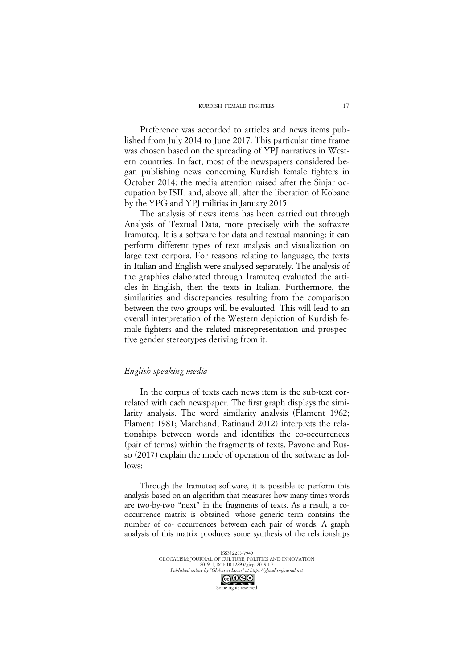Preference was accorded to articles and news items published from July 2014 to June 2017. This particular time frame was chosen based on the spreading of YPJ narratives in Western countries. In fact, most of the newspapers considered began publishing news concerning Kurdish female fighters in October 2014: the media attention raised after the Sinjar occupation by ISIL and, above all, after the liberation of Kobane by the YPG and YPJ militias in January 2015.

The analysis of news items has been carried out through Analysis of Textual Data, more precisely with the software Iramuteq. It is a software for data and textual manning: it can perform different types of text analysis and visualization on large text corpora. For reasons relating to language, the texts in Italian and English were analysed separately. The analysis of the graphics elaborated through Iramuteq evaluated the articles in English, then the texts in Italian. Furthermore, the similarities and discrepancies resulting from the comparison between the two groups will be evaluated. This will lead to an overall interpretation of the Western depiction of Kurdish female fighters and the related misrepresentation and prospective gender stereotypes deriving from it.

### *English-speaking media*

In the corpus of texts each news item is the sub-text correlated with each newspaper. The first graph displays the similarity analysis. The word similarity analysis (Flament 1962; Flament 1981; Marchand, Ratinaud 2012) interprets the relationships between words and identifies the co-occurrences (pair of terms) within the fragments of texts. Pavone and Russo (2017) explain the mode of operation of the software as follows:

Through the Iramuteq software, it is possible to perform this analysis based on an algorithm that measures how many times words are two-by-two "next" in the fragments of texts. As a result, a cooccurrence matrix is obtained, whose generic term contains the number of co- occurrences between each pair of words. A graph analysis of this matrix produces some synthesis of the relationships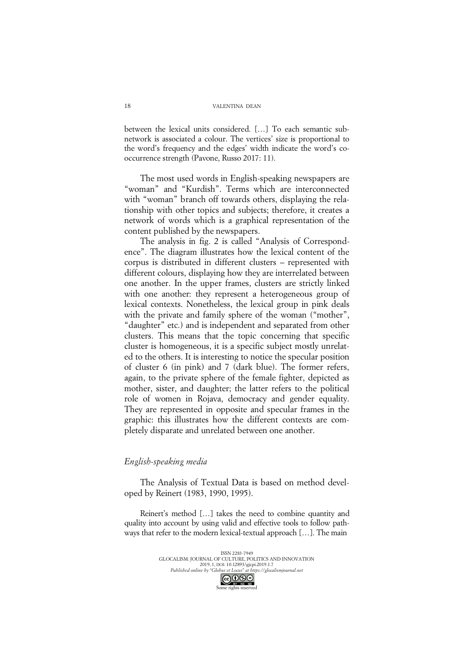between the lexical units considered. […] To each semantic subnetwork is associated a colour. The vertices' size is proportional to the word's frequency and the edges' width indicate the word's cooccurrence strength (Pavone, Russo 2017: 11).

The most used words in English-speaking newspapers are "woman" and "Kurdish". Terms which are interconnected with "woman" branch off towards others, displaying the relationship with other topics and subjects; therefore, it creates a network of words which is a graphical representation of the content published by the newspapers.

The analysis in fig. 2 is called "Analysis of Correspondence". The diagram illustrates how the lexical content of the corpus is distributed in different clusters – represented with different colours, displaying how they are interrelated between one another. In the upper frames, clusters are strictly linked with one another: they represent a heterogeneous group of lexical contexts. Nonetheless, the lexical group in pink deals with the private and family sphere of the woman ("mother", "daughter" etc.) and is independent and separated from other clusters. This means that the topic concerning that specific cluster is homogeneous, it is a specific subject mostly unrelated to the others. It is interesting to notice the specular position of cluster 6 (in pink) and 7 (dark blue). The former refers, again, to the private sphere of the female fighter, depicted as mother, sister, and daughter; the latter refers to the political role of women in Rojava, democracy and gender equality. They are represented in opposite and specular frames in the graphic: this illustrates how the different contexts are completely disparate and unrelated between one another.

## *English-speaking media*

The Analysis of Textual Data is based on method developed by Reinert (1983, 1990, 1995).

Reinert's method […] takes the need to combine quantity and quality into account by using valid and effective tools to follow pathways that refer to the modern lexical-textual approach […]. The main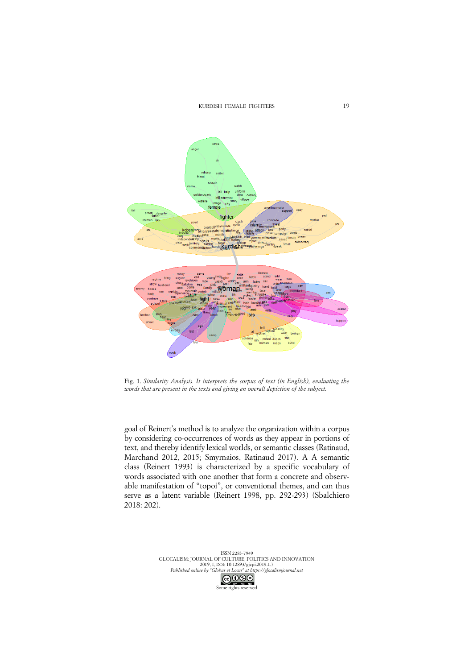KURDISH FEMALE FIGHTERS



Fig. 1. *Similarity Analysis. It interprets the corpus of text (in English), evaluating the words that are present in the texts and giving an overall depiction of the subject.*

goal of Reinert's method is to analyze the organization within a corpus by considering co-occurrences of words as they appear in portions of text, and thereby identify lexical worlds, or semantic classes (Ratinaud, Marchand 2012, 2015; Smyrnaios, Ratinaud 2017). A A semantic class (Reinert 1993) is characterized by a specific vocabulary of words associated with one another that form a concrete and observable manifestation of "topoi", or conventional themes, and can thus serve as a latent variable (Reinert 1998, pp. 292-293) (Sbalchiero 2018: 202).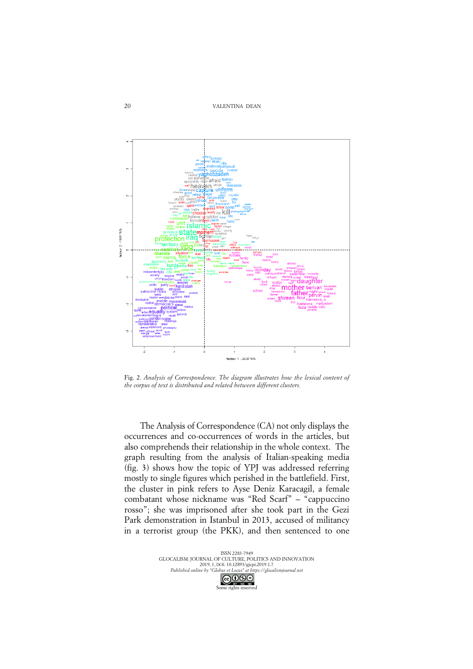VALENTINA DEAN



Fig. 2. *Analysis of Correspondence. The diagram illustrates how the lexical content of the corpus of text is distributed and related between different clusters.*

The Analysis of Correspondence (CA) not only displays the occurrences and co-occurrences of words in the articles, but also comprehends their relationship in the whole context. The graph resulting from the analysis of Italian-speaking media (fig. 3) shows how the topic of YPJ was addressed referring mostly to single figures which perished in the battlefield. First, the cluster in pink refers to Ayse Deniz Karacagil, a female combatant whose nickname was "Red Scarf" – "cappuccino rosso"; she was imprisoned after she took part in the Gezi Park demonstration in Istanbul in 2013, accused of militancy in a terrorist group (the PKK), and then sentenced to one

> ISSN 2283-7949 GLOCALISM: JOURNAL OF CULTURE, POLITICS AND INNOVATION 2011.011.1.70021.0112.02.1.2021.0112.1.7<br>2019, 1, DOI: 10.12893/gjcpi.2019.1.7<br>Published online by "Globus et Locus" at https://gloca <sup>*Published online by "Globus et Locus" at https://glocalismjournal.net*</sup> Some rights reserved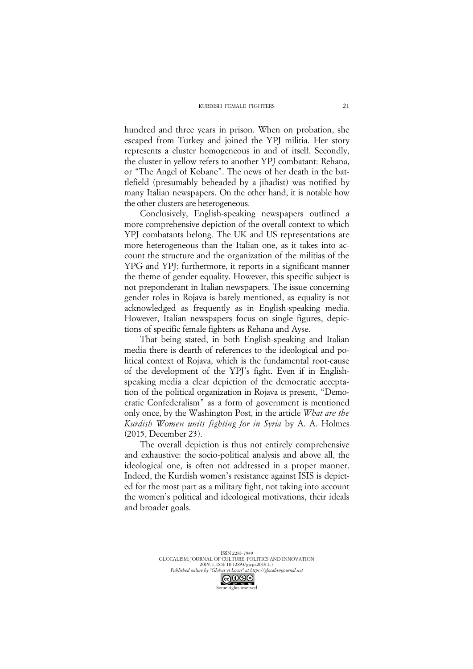hundred and three years in prison. When on probation, she escaped from Turkey and joined the YPJ militia. Her story represents a cluster homogeneous in and of itself. Secondly, the cluster in yellow refers to another YPJ combatant: Rehana, or "The Angel of Kobane". The news of her death in the battlefield (presumably beheaded by a jihadist) was notified by many Italian newspapers. On the other hand, it is notable how the other clusters are heterogeneous.

Conclusively, English-speaking newspapers outlined a more comprehensive depiction of the overall context to which YPJ combatants belong. The UK and US representations are more heterogeneous than the Italian one, as it takes into account the structure and the organization of the militias of the YPG and YPJ; furthermore, it reports in a significant manner the theme of gender equality. However, this specific subject is not preponderant in Italian newspapers. The issue concerning gender roles in Rojava is barely mentioned, as equality is not acknowledged as frequently as in English-speaking media. However, Italian newspapers focus on single figures, depictions of specific female fighters as Rehana and Ayse.

That being stated, in both English-speaking and Italian media there is dearth of references to the ideological and political context of Rojava, which is the fundamental root-cause of the development of the YPJ's fight. Even if in Englishspeaking media a clear depiction of the democratic acceptation of the political organization in Rojava is present, "Democratic Confederalism" as a form of government is mentioned only once, by the Washington Post, in the article *What are the Kurdish Women units fighting for in Syria* by A. A. Holmes (2015, December 23).

The overall depiction is thus not entirely comprehensive and exhaustive: the socio-political analysis and above all, the ideological one, is often not addressed in a proper manner. Indeed, the Kurdish women's resistance against ISIS is depicted for the most part as a military fight, not taking into account the women's political and ideological motivations, their ideals and broader goals.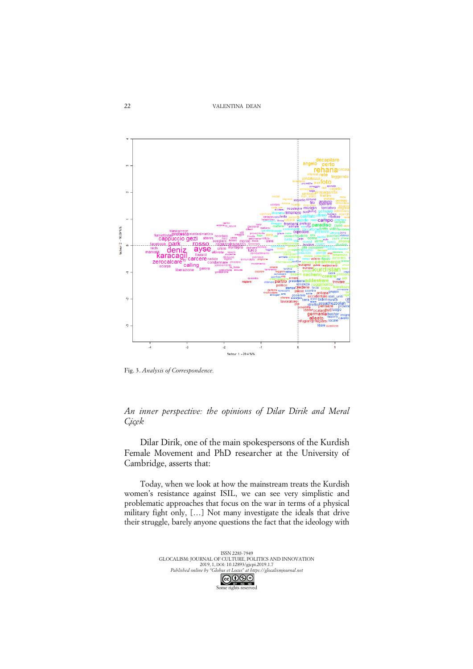VALENTINA DEAN



Fig. 3. *Analysis of Correspondence.*

*An inner perspective: the opinions of Dilar Dirik and Meral Çiçek* 

Dilar Dirik, one of the main spokespersons of the Kurdish Female Movement and PhD researcher at the University of Cambridge, asserts that:

Today, when we look at how the mainstream treats the Kurdish women's resistance against ISIL, we can see very simplistic and problematic approaches that focus on the war in terms of a physical military fight only, […] Not many investigate the ideals that drive their struggle, barely anyone questions the fact that the ideology with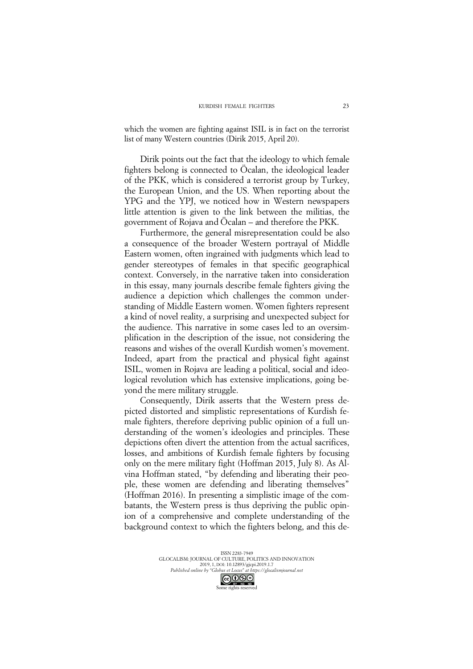which the women are fighting against ISIL is in fact on the terrorist list of many Western countries (Dirik 2015, April 20).

Dirik points out the fact that the ideology to which female fighters belong is connected to Öcalan, the ideological leader of the PKK, which is considered a terrorist group by Turkey, the European Union, and the US. When reporting about the YPG and the YPJ, we noticed how in Western newspapers little attention is given to the link between the militias, the government of Rojava and Öcalan – and therefore the PKK.

Furthermore, the general misrepresentation could be also a consequence of the broader Western portrayal of Middle Eastern women, often ingrained with judgments which lead to gender stereotypes of females in that specific geographical context. Conversely, in the narrative taken into consideration in this essay, many journals describe female fighters giving the audience a depiction which challenges the common understanding of Middle Eastern women. Women fighters represent a kind of novel reality, a surprising and unexpected subject for the audience. This narrative in some cases led to an oversimplification in the description of the issue, not considering the reasons and wishes of the overall Kurdish women's movement. Indeed, apart from the practical and physical fight against ISIL, women in Rojava are leading a political, social and ideological revolution which has extensive implications, going beyond the mere military struggle.

Consequently, Dirik asserts that the Western press depicted distorted and simplistic representations of Kurdish female fighters, therefore depriving public opinion of a full understanding of the women's ideologies and principles. These depictions often divert the attention from the actual sacrifices, losses, and ambitions of Kurdish female fighters by focusing only on the mere military fight (Hoffman 2015, July 8). As Alvina Hoffman stated, "by defending and liberating their people, these women are defending and liberating themselves" (Hoffman 2016). In presenting a simplistic image of the combatants, the Western press is thus depriving the public opinion of a comprehensive and complete understanding of the background context to which the fighters belong, and this de-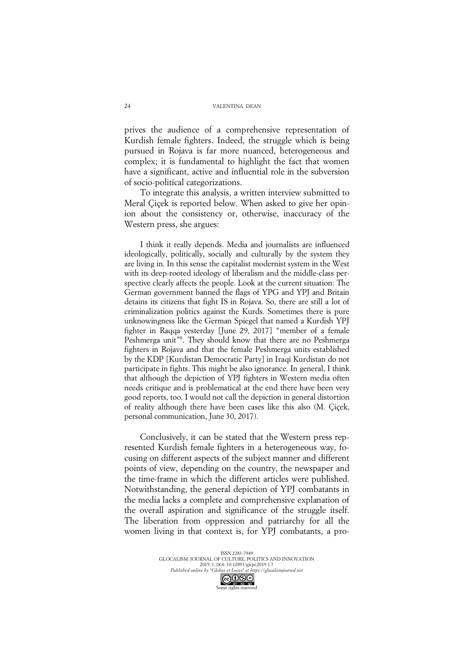prives the audience of a comprehensive representation of Kurdish female fighters. Indeed, the struggle which is being pursued in Rojava is far more nuanced, heterogeneous and complex; it is fundamental to highlight the fact that women have a significant, active and influential role in the subversion of socio-political categorizations.

To integrate this analysis, a written interview submitted to Meral Çiçek is reported below. When asked to give her opinion about the consistency or, otherwise, inaccuracy of the Western press, she argues:

I think it really depends. Media and journalists are influenced ideologically, politically, socially and culturally by the system they are living in. In this sense the capitalist modernist system in the West with its deep-rooted ideology of liberalism and the middle-class perspective clearly affects the people. Look at the current situation: The German government banned the flags of YPG and YPJ and Britain detains its citizens that fight IS in Rojava. So, there are still a lot of criminalization politics against the Kurds. Sometimes there is pure unknowingness like the German Spiegel that named a Kurdish YPJ fighter in Raqqa yesterday [June 29, 2017] "member of a female Peshmerga unit<sup>78</sup>. They should know that there are no Peshmerga fighters in Rojava and that the female Peshmerga units established by the KDP [Kurdistan Democratic Party] in Iraqi Kurdistan do not participate in fights. This might be also ignorance. In general, I think that although the depiction of YPJ fighters in Western media often needs critique and is problematical at the end there have been very good reports, too. I would not call the depiction in general distortion of reality although there have been cases like this also (M. Çiçek, personal communication, June 30, 2017).

Conclusively, it can be stated that the Western press represented Kurdish female fighters in a heterogeneous way, focusing on different aspects of the subject manner and different points of view, depending on the country, the newspaper and the time-frame in which the different articles were published. Notwithstanding, the general depiction of YPJ combatants in the media lacks a complete and comprehensive explanation of the overall aspiration and significance of the struggle itself. The liberation from oppression and patriarchy for all the women living in that context is, for YPJ combatants, a pro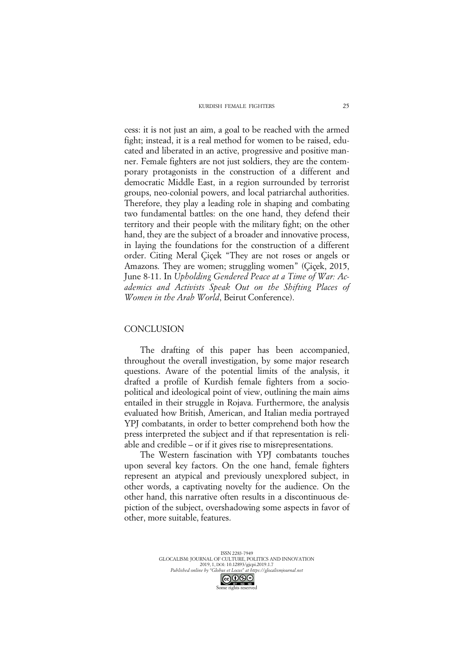cess: it is not just an aim, a goal to be reached with the armed fight; instead, it is a real method for women to be raised, educated and liberated in an active, progressive and positive manner. Female fighters are not just soldiers, they are the contemporary protagonists in the construction of a different and democratic Middle East, in a region surrounded by terrorist groups, neo-colonial powers, and local patriarchal authorities. Therefore, they play a leading role in shaping and combating two fundamental battles: on the one hand, they defend their territory and their people with the military fight; on the other hand, they are the subject of a broader and innovative process, in laying the foundations for the construction of a different order. Citing Meral Çiçek "They are not roses or angels or Amazons. They are women; struggling women" (Çiçek, 2015, June 8-11. In *Upholding Gendered Peace at a Time of War: Academics and Activists Speak Out on the Shifting Places of Women in the Arab World*, Beirut Conference).

## **CONCLUSION**

The drafting of this paper has been accompanied, throughout the overall investigation, by some major research questions. Aware of the potential limits of the analysis, it drafted a profile of Kurdish female fighters from a sociopolitical and ideological point of view, outlining the main aims entailed in their struggle in Rojava. Furthermore, the analysis evaluated how British, American, and Italian media portrayed YPJ combatants, in order to better comprehend both how the press interpreted the subject and if that representation is reliable and credible – or if it gives rise to misrepresentations.

The Western fascination with YPJ combatants touches upon several key factors. On the one hand, female fighters represent an atypical and previously unexplored subject, in other words, a captivating novelty for the audience. On the other hand, this narrative often results in a discontinuous depiction of the subject, overshadowing some aspects in favor of other, more suitable, features.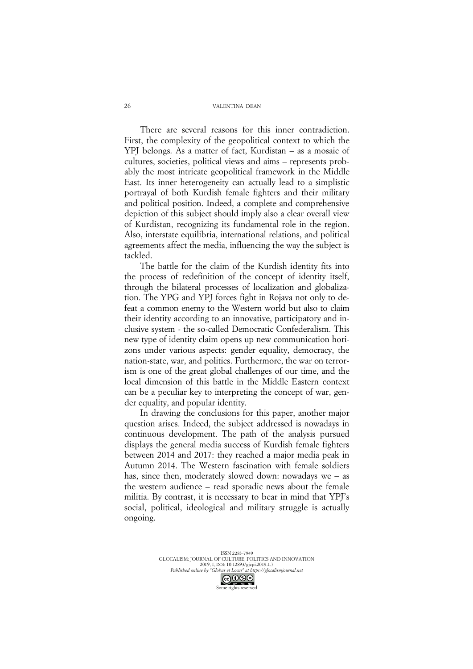There are several reasons for this inner contradiction. First, the complexity of the geopolitical context to which the YPJ belongs. As a matter of fact, Kurdistan – as a mosaic of cultures, societies, political views and aims – represents probably the most intricate geopolitical framework in the Middle East. Its inner heterogeneity can actually lead to a simplistic portrayal of both Kurdish female fighters and their military and political position. Indeed, a complete and comprehensive depiction of this subject should imply also a clear overall view of Kurdistan, recognizing its fundamental role in the region. Also, interstate equilibria, international relations, and political agreements affect the media, influencing the way the subject is tackled.

The battle for the claim of the Kurdish identity fits into the process of redefinition of the concept of identity itself, through the bilateral processes of localization and globalization. The YPG and YPJ forces fight in Rojava not only to defeat a common enemy to the Western world but also to claim their identity according to an innovative, participatory and inclusive system - the so-called Democratic Confederalism. This new type of identity claim opens up new communication horizons under various aspects: gender equality, democracy, the nation-state, war, and politics. Furthermore, the war on terrorism is one of the great global challenges of our time, and the local dimension of this battle in the Middle Eastern context can be a peculiar key to interpreting the concept of war, gender equality, and popular identity.

In drawing the conclusions for this paper, another major question arises. Indeed, the subject addressed is nowadays in continuous development. The path of the analysis pursued displays the general media success of Kurdish female fighters between 2014 and 2017: they reached a major media peak in Autumn 2014. The Western fascination with female soldiers has, since then, moderately slowed down: nowadays we – as the western audience – read sporadic news about the female militia. By contrast, it is necessary to bear in mind that YPJ's social, political, ideological and military struggle is actually ongoing.

> ISSN 2283-7949 GLOCALISM: JOURNAL OF CULTURE, POLITICS AND INNOVATION 2019, 1, DOI: 10.12893/gjcpi.2019.1.7 *Published online by "Globus et Locus" at https://glocalismjournal.net* Some rights reserved

26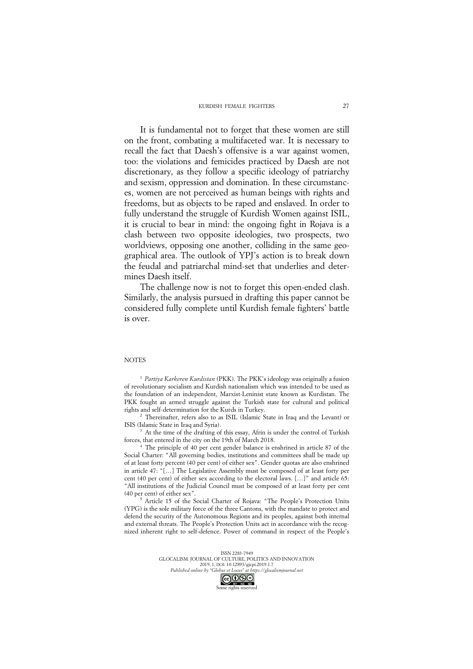It is fundamental not to forget that these women are still on the front, combating a multifaceted war. It is necessary to recall the fact that Daesh's offensive is a war against women, too: the violations and femicides practiced by Daesh are not discretionary, as they follow a specific ideology of patriarchy and sexism, oppression and domination. In these circumstances, women are not perceived as human beings with rights and freedoms, but as objects to be raped and enslaved. In order to fully understand the struggle of Kurdish Women against ISIL, it is crucial to bear in mind: the ongoing fight in Rojava is a clash between two opposite ideologies, two prospects, two worldviews, opposing one another, colliding in the same geographical area. The outlook of YPJ's action is to break down the feudal and patriarchal mind-set that underlies and determines Daesh itself.

The challenge now is not to forget this open-ended clash. Similarly, the analysis pursued in drafting this paper cannot be considered fully complete until Kurdish female fighters' battle is over.

#### **NOTES**

<sup>1</sup> *Partiya Karkeren Kurdistan* (PKK). The PKK's ideology was originally a fusion of revolutionary socialism and Kurdish nationalism which was intended to be used as the foundation of an independent, Marxist-Leninist state known as Kurdistan. The PKK fought an armed struggle against the Turkish state for cultural and political rights and self-determination for the Kurds in Turkey.

<sup>2</sup> Thereinafter, refers also to as ISIL (Islamic State in Iraq and the Levant) or ISIS (Islamic State in Iraq and Syria).

At the time of the drafting of this essay, Afrin is under the control of Turkish forces, that entered in the city on the 19th of March 2018.

<sup>4</sup> The principle of 40 per cent gender balance is enshrined in article 87 of the Social Charter: "All governing bodies, institutions and committees shall be made up of at least forty percent (40 per cent) of either sex". Gender quotas are also enshrined in article 47: "[…] The Legislative Assembly must be composed of at least forty per cent (40 per cent) of either sex according to the electoral laws. […]" and article 65: "All institutions of the Judicial Council must be composed of at least forty per cent (40 per cent) of either sex".

<sup>5</sup> Article 15 of the Social Charter of Rojava: "The People's Protection Units (YPG) is the sole military force of the three Cantons, with the mandate to protect and defend the security of the Autonomous Regions and its peoples, against both internal and external threats. The People's Protection Units act in accordance with the recognized inherent right to self-defence. Power of command in respect of the People's

> ISSN 2283-7949 GLOCALISM: JOURNAL OF CULTURE, POLITICS AND INNOVATION 2019, 1, DOI: 10.12893/gjcpi.2019.1.7 *Published online by "Globus et Locus" at https://glocalismjournal.net*

Some rights reserved

27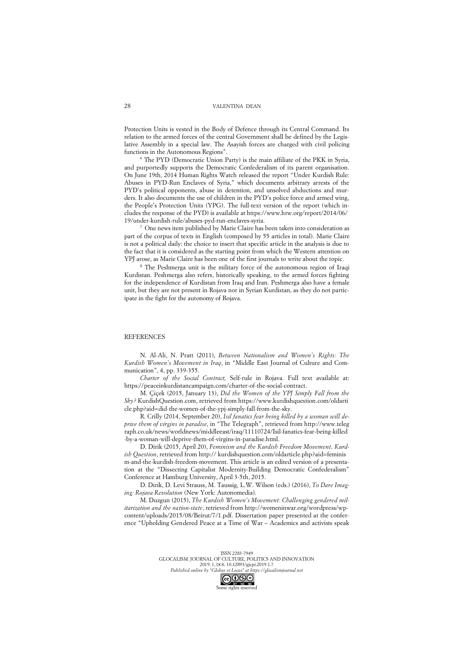Protection Units is vested in the Body of Defence through its Central Command. Its relation to the armed forces of the central Government shall be defined by the Legislative Assembly in a special law. The Asayish forces are charged with civil policing functions in the Autonomous Regions".

<sup>6</sup> The PYD (Democratic Union Party) is the main affiliate of the PKK in Syria, and purportedly supports the Democratic Confederalism of its parent organisation. On June 19th, 2014 Human Rights Watch released the report "Under Kurdish Rule: Abuses in PYD-Run Enclaves of Syria," which documents arbitrary arrests of the PYD's political opponents, abuse in detention, and unsolved abductions and murders. It also documents the use of children in the PYD's police force and armed wing, the People's Protection Units (YPG). The full-text version of the report (which includes the response of the PYD) is available at https://www.hrw.org/report/2014/06/ 19/under-kurdish-rule/abuses-pyd-run-enclaves-syria.

<sup>7</sup> One news item published by Marie Claire has been taken into consideration as part of the corpus of texts in English (composed by 55 articles in total). Marie Claire is not a political daily: the choice to insert that specific article in the analysis is due to the fact that it is considered as the starting point from which the Western attention on YPJ arose, as Marie Claire has been one of the first journals to write about the topic.

<sup>8</sup> The Peshmerga unit is the military force of the autonomous region of Iraqi Kurdistan. Peshmerga also refers, historically speaking, to the armed forces fighting for the independence of Kurdistan from Iraq and Iran. Peshmerga also have a female unit, but they are not present in Rojava nor in Syrian Kurdistan, as they do not participate in the fight for the autonomy of Rojava.

#### **REFERENCES**

N. Al-Ali, N. Pratt (2011), *Between Nationalism and Women's Rights: The Kurdish Women's Movement in Iraq*, in "Middle East Journal of Culture and Communication", 4, pp. 339-355.

*Charter of the Social Contract,* Self-rule in Rojava. Full text available at: https://peaceinkurdistancampaign.com/charter-of-the-social-contract.

M. Çiçek (2015, January 13), *Did the Women of the YPJ Simply Fall from the Sky?* KurdishQuestion.com, retrieved from https://www.kurdishquestion.com/oldarti cle.php?aid=did-the-women-of-the-ypj-simply-fall-from-the-sky.

R. Crilly (2014, September 20), *Isil fanatics fear being killed by a woman will deprive them of virgins in paradise*, in "The Telegraph", retrieved from http://www.teleg raph.co.uk/news/worldnews/middleeast/iraq/11110724/Isil-fanatics-fear-being-killed -by-a-woman-will-deprive-them-of-virgins-in-paradise.html.

D. Dirik (2015, April 20), *Feminism and the Kurdish Freedom Movement*. *Kurdish Question*, retrieved from http:// kurdishquestion.com/oldarticle.php?aid=feminis m-and-the-kurdish-freedom-movement. This article is an edited version of a presentation at the "Dissecting Capitalist Modernity-Building Democratic Confederalism" Conference at Hamburg University, April 3-5th, 2015.

D. Dirik, D. Levi Strauss, M. Taussig, L.W. Wilson (eds.) (2016), *To Dare Imaging: Rojava Revolution* (New York: Autonomedia).

M. Duzgun (2015), *The Kurdish Women's Movement: Challenging gendered militarization and the nation-state*, retrieved from http://womeninwar.org/wordpress/wpcontent/uploads/2015/08/Beirut/7/1.pdf. Dissertation paper presented at the conference "Upholding Gendered Peace at a Time of War – Academics and activists speak